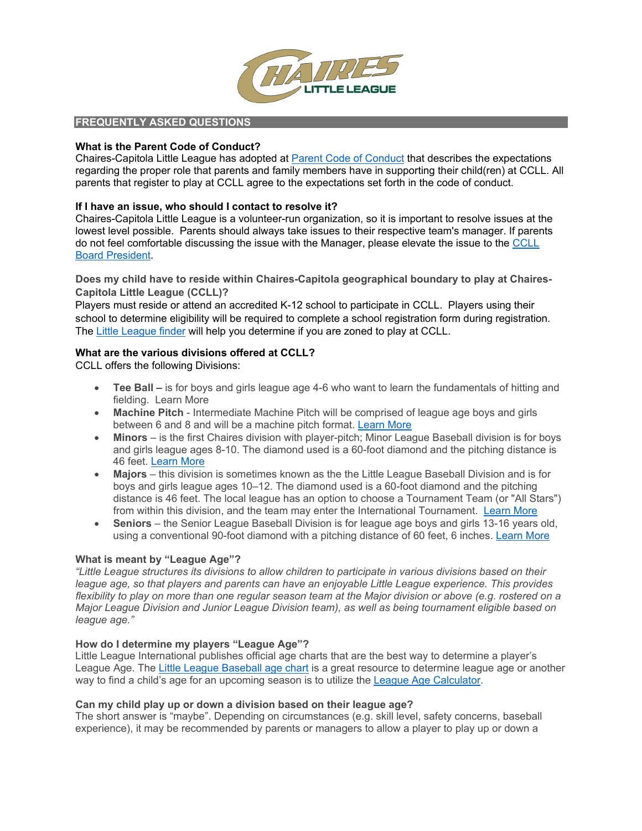

# **FREQUENTLY ASKED QUESTIONS**

# **What is the Parent Code of Conduct?**

Chaires-Capitola Little League has adopted at [Parent Code of Conduct](http://www.chairesll.com/files/parent_code_of_conduct.pdf) that describes the expectations regarding the proper role that parents and family members have in supporting their child(ren) at CCLL. All parents that register to play at CCLL agree to the expectations set forth in the code of conduct.

# **If I have an issue, who should I contact to resolve it?**

Chaires-Capitola Little League is a volunteer-run organization, so it is important to resolve issues at the lowest level possible. Parents should always take issues to their respective team's manager. If parents do not feel comfortable discussing the issue with the Manager, please elevate the issue to the [CCLL](mailto:infor@chaireslittleleague.com)  [Board President.](mailto:infor@chaireslittleleague.com)

**Does my child have to reside within Chaires-Capitola geographical boundary to play at Chaires-Capitola Little League (CCLL)?**

Players must reside or attend an accredited K-12 school to participate in CCLL. Players using their school to determine eligibility will be required to complete a school registration form during registration. The [Little League finder](https://www.littleleague.org/play-little-league/league-finder/) will help you determine if you are zoned to play at CCLL.

# **What are the various divisions offered at CCLL?**

CCLL offers the following Divisions:

- **Tee Ball –** is for boys and girls league age 4-6 who want to learn the fundamentals of hitting and fielding. [Learn More](https://www.chairesll.com/index.php/information/age-divisions/teeball)
- **Machine Pitch** Intermediate Machine Pitch will be comprised of league age boys and girls between 6 and 8 and will be a machine pitch format. [Learn More](https://www.chairesll.com/index.php/information/age-divisions/machine-pitch)
- **Minors** is the first Chaires division with player-pitch; Minor League Baseball division is for boys and girls league ages 8-10. The diamond used is a 60-foot diamond and the pitching distance is 46 feet. [Learn More](https://www.chairesll.com/index.php/information/age-divisions/minor-baseball)
- **Majors** this division is sometimes known as the the Little League Baseball Division and is for boys and girls league ages 10–12. The diamond used is a 60-foot diamond and the pitching distance is 46 feet. The local league has an option to choose a Tournament Team (or "All Stars") from within this division, and the team may enter the International Tournament. [Learn More](https://www.chairesll.com/index.php/information/age-divisions/major-baseball)
- **Seniors** the Senior League Baseball Division is for league age boys and girls 13-16 years old, using a conventional 90-foot diamond with a pitching distance of 60 feet, 6 inches. [Learn More](https://www.chairesll.com/index.php/information/age-divisions/senior-league)

## **What is meant by "League Age"?**

*"Little League structures its divisions to allow children to participate in various divisions based on their league age, so that players and parents can have an enjoyable Little League experience. This provides flexibility to play on more than one regular season team at the Major division or above (e.g. rostered on a Major League Division and Junior League Division team), as well as being tournament eligible based on league age."*

## **How do I determine my players "League Age"?**

Little League International publishes official age charts that are the best way to determine a player's League Age. The [Little League Baseball age chart](https://www.littleleague.org/downloads/2021-baseball-age-chart/) is a great resource to determine league age or another way to find a child's age for an upcoming season is to utilize the [League Age Calculator.](https://www.littleleague.org/play-little-league/determine-league-age/)

## **Can my child play up or down a division based on their league age?**

The short answer is "maybe". Depending on circumstances (e.g. skill level, safety concerns, baseball experience), it may be recommended by parents or managers to allow a player to play up or down a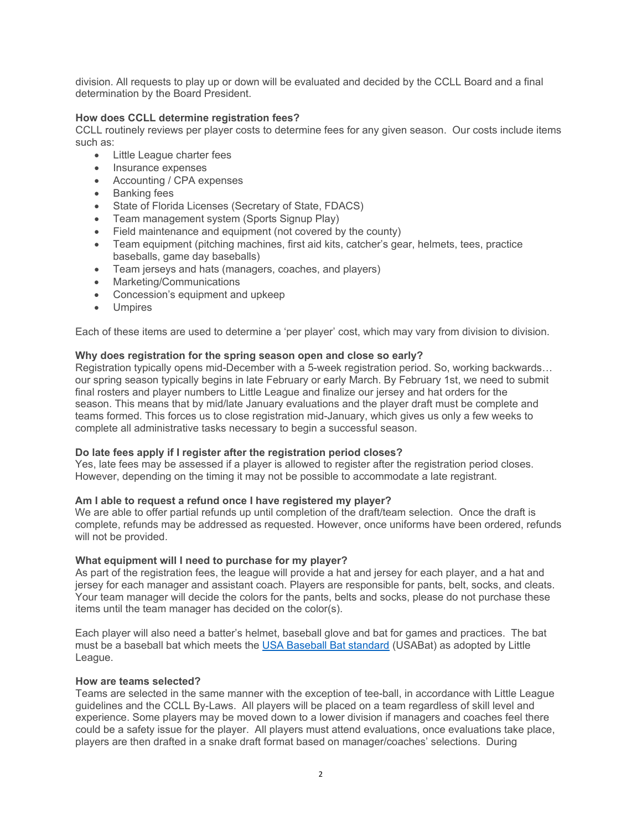division. All requests to play up or down will be evaluated and decided by the CCLL Board and a final determination by the Board President.

## **How does CCLL determine registration fees?**

CCLL routinely reviews per player costs to determine fees for any given season. Our costs include items such as:

- Little League charter fees
- Insurance expenses
- Accounting / CPA expenses
- Banking fees
- State of Florida Licenses (Secretary of State, FDACS)
- Team management system (Sports Signup Play)
- Field maintenance and equipment (not covered by the county)
- Team equipment (pitching machines, first aid kits, catcher's gear, helmets, tees, practice baseballs, game day baseballs)
- Team jerseys and hats (managers, coaches, and players)
- Marketing/Communications
- Concession's equipment and upkeep
- **Umpires**

Each of these items are used to determine a 'per player' cost, which may vary from division to division.

## **Why does registration for the spring season open and close so early?**

Registration typically opens mid-December with a 5-week registration period. So, working backwards… our spring season typically begins in late February or early March. By February 1st, we need to submit final rosters and player numbers to Little League and finalize our jersey and hat orders for the season. This means that by mid/late January evaluations and the player draft must be complete and teams formed. This forces us to close registration mid-January, which gives us only a few weeks to complete all administrative tasks necessary to begin a successful season.

## **Do late fees apply if I register after the registration period closes?**

Yes, late fees may be assessed if a player is allowed to register after the registration period closes. However, depending on the timing it may not be possible to accommodate a late registrant.

## **Am I able to request a refund once I have registered my player?**

We are able to offer partial refunds up until completion of the draft/team selection. Once the draft is complete, refunds may be addressed as requested. However, once uniforms have been ordered, refunds will not be provided.

## **What equipment will I need to purchase for my player?**

As part of the registration fees, the league will provide a hat and jersey for each player, and a hat and jersey for each manager and assistant coach. Players are responsible for pants, belt, socks, and cleats. Your team manager will decide the colors for the pants, belts and socks, please do not purchase these items until the team manager has decided on the color(s).

Each player will also need a batter's helmet, baseball glove and bat for games and practices. The bat must be a baseball bat which meets the USA Baseball Bat [standard](https://www.littleleague.org/playing-rules/bat-rules/) (USABat) as adopted by Little League.

## **How are teams selected?**

Teams are selected in the same manner with the exception of tee-ball, in accordance with Little League guidelines and the CCLL By-Laws. All players will be placed on a team regardless of skill level and experience. Some players may be moved down to a lower division if managers and coaches feel there could be a safety issue for the player. All players must attend evaluations, once evaluations take place, players are then drafted in a snake draft format based on manager/coaches' selections. During